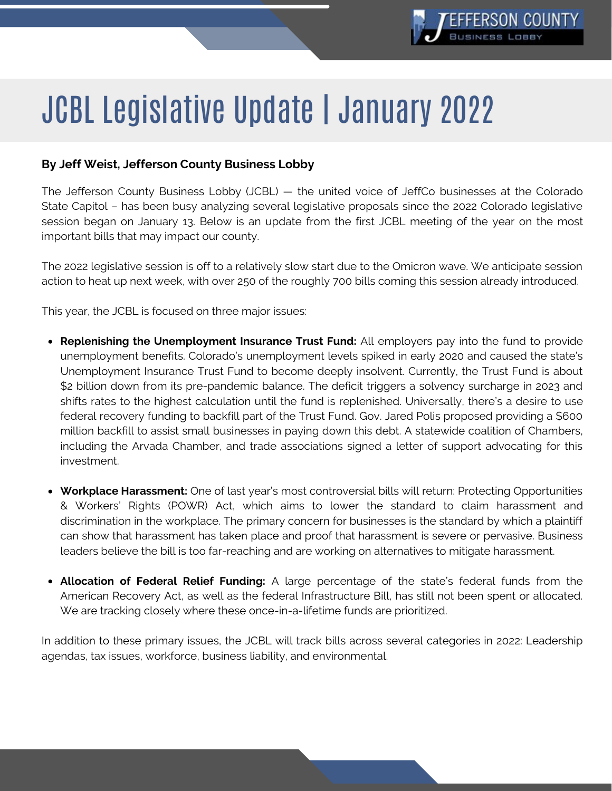

# JCBL Legislative Update | January 2022

## **By Jeff Weist, Jefferson County Business Lobby**

The Jefferson County Business Lobby (JCBL) — the united voice of JeffCo businesses at the Colorado State Capitol – has been busy analyzing several legislative proposals since the 2022 Colorado legislative session began on January 13. Below is an update from the first JCBL meeting of the year on the most important bills that may impact our county.

The 2022 legislative session is off to a relatively slow start due to the Omicron wave. We anticipate session action to heat up next week, with over 250 of the roughly 700 bills coming this session already introduced.

This year, the JCBL is focused on three major issues:

- **Replenishing the Unemployment Insurance Trust Fund:** All employers pay into the fund to provide unemployment benefits. Colorado's unemployment levels spiked in early 2020 and caused the state's Unemployment Insurance Trust Fund to become deeply insolvent. Currently, the Trust Fund is about \$2 billion down from its pre-pandemic balance. The deficit triggers a solvency surcharge in 2023 and shifts rates to the highest calculation until the fund is replenished. Universally, there's a desire to use federal recovery funding to backfill part of the Trust Fund. Gov. Jared Polis proposed providing a \$600 million backfill to assist small businesses in paying down this debt. A statewide coalition of Chambers, including the Arvada Chamber, and trade [associations](https://cochamber.com/wp-content/uploads/UITF-Business-Community-Letter.pdf) signed a letter of support advocating for this investment.
- **Workplace Harassment:** One of last year's most controversial bills will return: Protecting Opportunities & Workers' Rights (POWR) Act, which aims to lower the standard to claim harassment and discrimination in the workplace. The primary concern for businesses is the standard by which a plaintiff can show that harassment has taken place and proof that harassment is severe or pervasive. Business leaders believe the bill is too far-reaching and are working on alternatives to mitigate harassment.
- **Allocation of Federal Relief Funding:** A large percentage of the state's federal funds from the American Recovery Act, as well as the federal Infrastructure Bill, has still not been spent or allocated. We are tracking closely where these once-in-a-lifetime funds are prioritized.

In addition to these primary issues, the JCBL will track bills across several categories in 2022: Leadership agendas, tax issues, workforce, business liability, and environmental.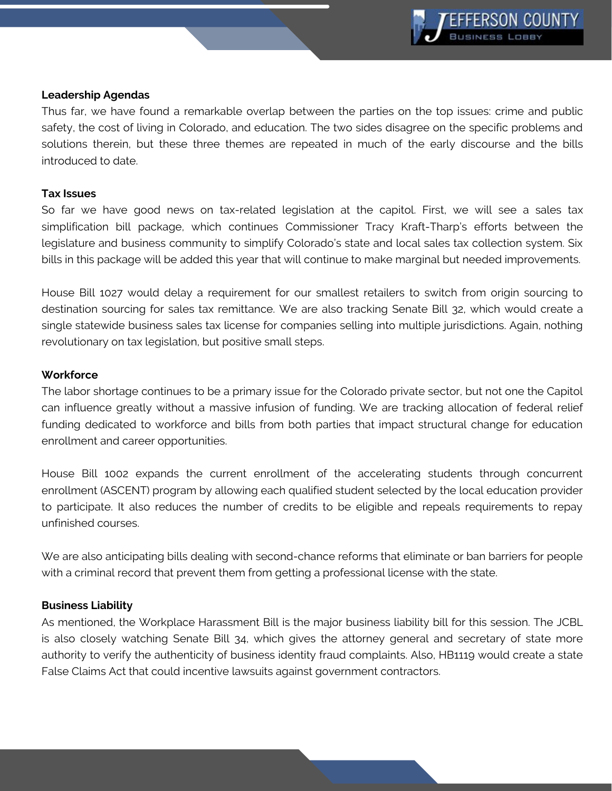

#### **Leadership Agendas**

Thus far, we have found a remarkable overlap between the parties on the top issues: crime and public safety, the cost of living in Colorado, and education. The two sides disagree on the specific problems and solutions therein, but these three themes are repeated in much of the early discourse and the bills introduced to date.

### **Tax Issues**

So far we have good news on tax-related legislation at the capitol. First, we will see a sales tax simplification bill package, which continues Commissioner Tracy Kraft-Tharp's efforts between the legislature and business community to simplify Colorado's state and local sales tax collection system. Six bills in this package will be added this year that will continue to make marginal but needed improvements.

House Bill 1027 would delay a requirement for our smallest retailers to switch from origin sourcing to destination sourcing for sales tax remittance. We are also tracking Senate Bill 32, which would create a single statewide business sales tax license for companies selling into multiple jurisdictions. Again, nothing revolutionary on tax legislation, but positive small steps.

## **Workforce**

The labor shortage continues to be a primary issue for the Colorado private sector, but not one the Capitol can influence greatly without a massive infusion of funding. We are tracking allocation of federal relief funding dedicated to workforce and bills from both parties that impact structural change for education enrollment and career opportunities.

House Bill 1002 expands the current enrollment of the accelerating students through concurrent enrollment (ASCENT) program by allowing each qualified student selected by the local education provider to participate. It also reduces the number of credits to be eligible and repeals requirements to repay unfinished courses.

We are also anticipating bills dealing with second-chance reforms that eliminate or ban barriers for people with a criminal record that prevent them from getting a professional license with the state.

## **Business Liability**

As mentioned, the Workplace Harassment Bill is the major business liability bill for this session. The JCBL is also closely watching Senate Bill 34, which gives the attorney general and secretary of state more authority to verify the authenticity of business identity fraud complaints. Also, HB1119 would create a state False Claims Act that could incentive lawsuits against government contractors.